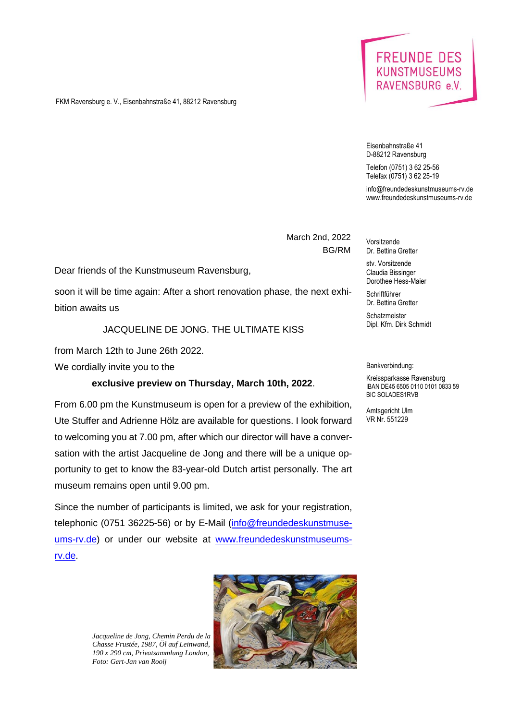FKM Ravensburg e. V., Eisenbahnstraße 41, 88212 Ravensburg

Eisenbahnstraße 41 D-88212 Ravensburg

Telefon (0751) 3 62 25-56 Telefax (0751) 3 62 25-19

info@freundedeskunstmuseums-rv.de www.freundedeskunstmuseums-rv.de

March 2nd, 2022 BG/RM

Dear friends of the Kunstmuseum Ravensburg,

soon it will be time again: After a short renovation phase, the next exhibition awaits us

## JACQUELINE DE JONG. THE ULTIMATE KISS

from March 12th to June 26th 2022.

We cordially invite you to the

## **exclusive preview on Thursday, March 10th, 2022**.

From 6.00 pm the Kunstmuseum is open for a preview of the exhibition, Ute Stuffer and Adrienne Hölz are available for questions. I look forward to welcoming you at 7.00 pm, after which our director will have a conversation with the artist Jacqueline de Jong and there will be a unique opportunity to get to know the 83-year-old Dutch artist personally. The art museum remains open until 9.00 pm.

Since the number of participants is limited, we ask for your registration, telephonic (0751 36225-56) or by E-Mail [\(info@freundedeskunstmuse](mailto:info@freundedeskunstmuseums-rv.de)[ums-rv.de\)](mailto:info@freundedeskunstmuseums-rv.de) or under our website at [www.freundedeskunstmuseums](https://www.freundedeskunstmuseums-rv.de/)[rv.de.](https://www.freundedeskunstmuseums-rv.de/)



*Jacqueline de Jong, Chemin Perdu de la Chasse Frustée, 1987, Öl auf Leinwand, 190 x 290 cm, Privatsammlung London, Foto: Gert-Jan van Rooij*

Vorsitzende Dr. Bettina Gretter

stv. Vorsitzende Claudia Bissinger Dorothee Hess-Maier

**Schriftführer** Dr. Bettina Gretter

Schatzmeister Dipl. Kfm. Dirk Schmidt

## Bankverbindung:

Kreissparkasse Ravensburg IBAN DE45 6505 0110 0101 0833 59 BIC SOLADES1RVB

Amtsgericht Ulm VR Nr. 551229